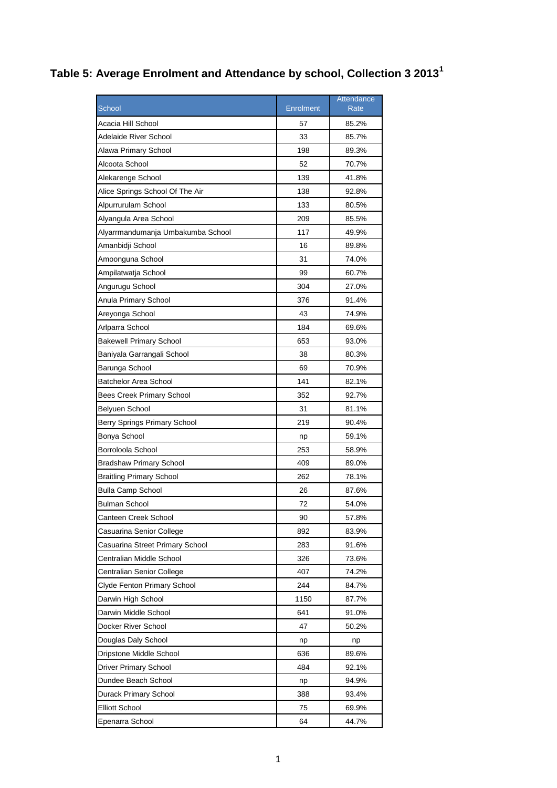## **Table 5: Average Enrolment and Attendance by school, Collection 3 2013<sup>1</sup>**

|                                   |           | Attendance |
|-----------------------------------|-----------|------------|
| <b>School</b>                     | Enrolment | Rate       |
| Acacia Hill School                | 57        | 85.2%      |
| Adelaide River School             | 33        | 85.7%      |
| Alawa Primary School              | 198       | 89.3%      |
| Alcoota School                    | 52        | 70.7%      |
| Alekarenge School                 | 139       | 41.8%      |
| Alice Springs School Of The Air   | 138       | 92.8%      |
| Alpurrurulam School               | 133       | 80.5%      |
| Alyangula Area School             | 209       | 85.5%      |
| Alyarrmandumanja Umbakumba School | 117       | 49.9%      |
| Amanbidji School                  | 16        | 89.8%      |
| Amoonguna School                  | 31        | 74.0%      |
| Ampilatwatja School               | 99        | 60.7%      |
| Angurugu School                   | 304       | 27.0%      |
| Anula Primary School              | 376       | 91.4%      |
| Areyonga School                   | 43        | 74.9%      |
| Arlparra School                   | 184       | 69.6%      |
| <b>Bakewell Primary School</b>    | 653       | 93.0%      |
| Baniyala Garrangali School        | 38        | 80.3%      |
| Barunga School                    | 69        | 70.9%      |
| <b>Batchelor Area School</b>      | 141       | 82.1%      |
| <b>Bees Creek Primary School</b>  | 352       | 92.7%      |
| Belyuen School                    | 31        | 81.1%      |
| Berry Springs Primary School      | 219       | 90.4%      |
| Bonya School                      | np        | 59.1%      |
| Borroloola School                 | 253       | 58.9%      |
| <b>Bradshaw Primary School</b>    | 409       | 89.0%      |
| <b>Braitling Primary School</b>   | 262       | 78.1%      |
| <b>Bulla Camp School</b>          | 26        | 87.6%      |
| Bulman School                     | 72        | 54.0%      |
| Canteen Creek School              | 90        | 57.8%      |
| Casuarina Senior College          | 892       | 83.9%      |
| Casuarina Street Primary School   | 283       | 91.6%      |
| Centralian Middle School          | 326       | 73.6%      |
| Centralian Senior College         | 407       | 74.2%      |
| Clyde Fenton Primary School       | 244       | 84.7%      |
| Darwin High School                | 1150      | 87.7%      |
| Darwin Middle School              | 641       | 91.0%      |
| Docker River School               | 47        | 50.2%      |
| Douglas Daly School               | np        | np         |
| Dripstone Middle School           | 636       | 89.6%      |
| Driver Primary School             | 484       | 92.1%      |
| Dundee Beach School               | np        | 94.9%      |
| Durack Primary School             | 388       | 93.4%      |
| <b>Elliott School</b>             | 75        | 69.9%      |
| Epenarra School                   | 64        | 44.7%      |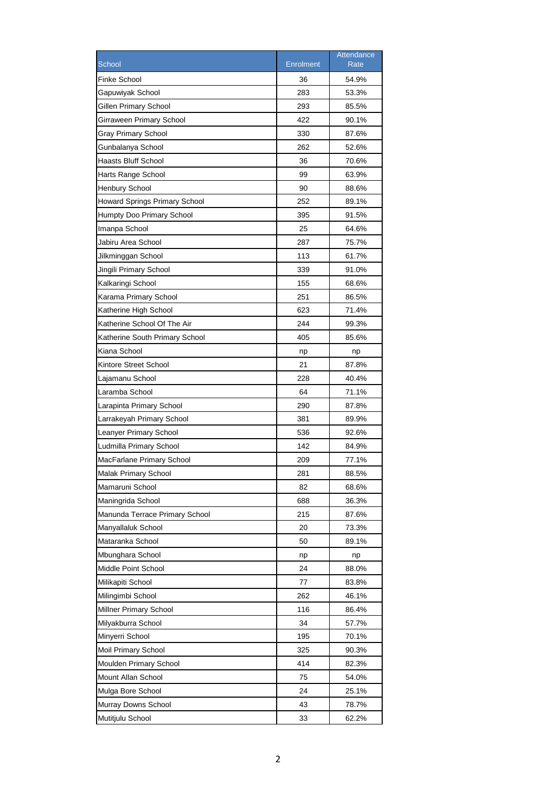|                                      |                  | Attendance |
|--------------------------------------|------------------|------------|
| School                               | <b>Enrolment</b> | Rate       |
| <b>Finke School</b>                  | 36               | 54.9%      |
| Gapuwiyak School                     | 283              | 53.3%      |
| Gillen Primary School                | 293              | 85.5%      |
| Girraween Primary School             | 422              | 90.1%      |
| <b>Gray Primary School</b>           | 330              | 87.6%      |
| Gunbalanya School                    | 262              | 52.6%      |
| Haasts Bluff School                  | 36               | 70.6%      |
| Harts Range School                   | 99               | 63.9%      |
| <b>Henbury School</b>                | 90               | 88.6%      |
| <b>Howard Springs Primary School</b> | 252              | 89.1%      |
| Humpty Doo Primary School            | 395              | 91.5%      |
| Imanpa School                        | 25               | 64.6%      |
| Jabiru Area School                   | 287              | 75.7%      |
| Jilkminggan School                   | 113              | 61.7%      |
| Jingili Primary School               | 339              | 91.0%      |
| Kalkaringi School                    | 155              | 68.6%      |
| Karama Primary School                | 251              | 86.5%      |
| Katherine High School                | 623              | 71.4%      |
| Katherine School Of The Air          | 244              | 99.3%      |
| Katherine South Primary School       | 405              | 85.6%      |
| Kiana School                         | np               | np         |
| Kintore Street School                | 21               | 87.8%      |
| Lajamanu School                      | 228              | 40.4%      |
| Laramba School                       | 64               | 71.1%      |
| Larapinta Primary School             | 290              | 87.8%      |
| Larrakeyah Primary School            | 381              | 89.9%      |
| Leanyer Primary School               | 536              | 92.6%      |
| Ludmilla Primary School              | 142              | 84.9%      |
| MacFarlane Primary School            | 209              | 77.1%      |
| Malak Primary School                 | 281              | 88.5%      |
| Mamaruni School                      | 82               | 68.6%      |
| Maningrida School                    | 688              | 36.3%      |
| Manunda Terrace Primary School       | 215              | 87.6%      |
| Manyallaluk School                   | 20               | 73.3%      |
| Mataranka School                     | 50               | 89.1%      |
| Mbunghara School                     | np               | np         |
| Middle Point School                  | 24               | 88.0%      |
| Milikapiti School                    | 77               | 83.8%      |
| Milingimbi School                    | 262              | 46.1%      |
| Millner Primary School               | 116              | 86.4%      |
| Milyakburra School                   | 34               | 57.7%      |
| Minyerri School                      | 195              | 70.1%      |
| Moil Primary School                  | 325              | 90.3%      |
| Moulden Primary School               | 414              | 82.3%      |
| Mount Allan School                   | 75               | 54.0%      |
| Mulga Bore School                    | 24               | 25.1%      |
|                                      | 43               |            |
| Murray Downs School                  |                  | 78.7%      |
| Mutitjulu School                     | 33               | 62.2%      |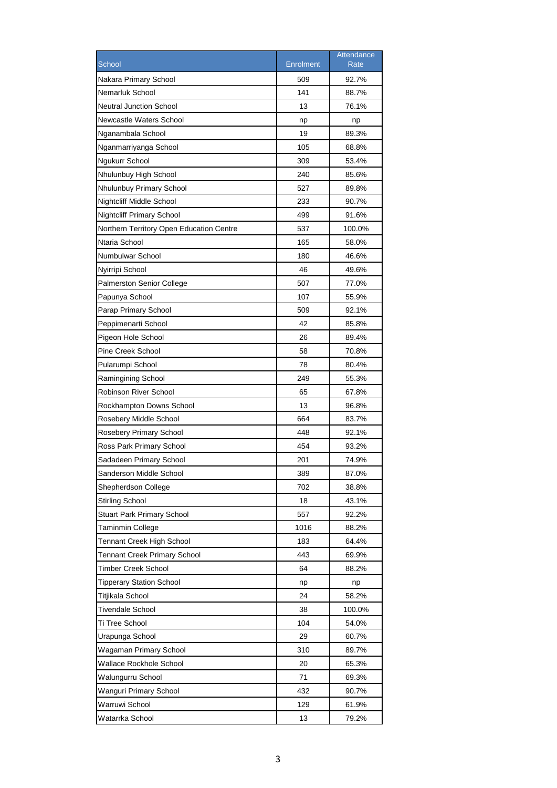|                                          |                  | Attendance  |
|------------------------------------------|------------------|-------------|
| School                                   | <b>Enrolment</b> | <b>Rate</b> |
| Nakara Primary School                    | 509              | 92.7%       |
| Nemarluk School                          | 141              | 88.7%       |
| <b>Neutral Junction School</b>           | 13               | 76.1%       |
| Newcastle Waters School                  | np               | np          |
| Nganambala School                        | 19               | 89.3%       |
| Nganmarriyanga School                    | 105              | 68.8%       |
| Ngukurr School                           | 309              | 53.4%       |
| Nhulunbuy High School                    | 240              | 85.6%       |
| Nhulunbuy Primary School                 | 527              | 89.8%       |
| Nightcliff Middle School                 | 233              | 90.7%       |
| <b>Nightcliff Primary School</b>         | 499              | 91.6%       |
| Northern Territory Open Education Centre | 537              | 100.0%      |
| Ntaria School                            | 165              | 58.0%       |
| Numbulwar School                         | 180              | 46.6%       |
| Nyirripi School                          | 46               | 49.6%       |
| <b>Palmerston Senior College</b>         | 507              | 77.0%       |
| Papunya School                           | 107              | 55.9%       |
| Parap Primary School                     | 509              | 92.1%       |
| Peppimenarti School                      | 42               | 85.8%       |
| Pigeon Hole School                       | 26               | 89.4%       |
| Pine Creek School                        | 58               | 70.8%       |
| Pularumpi School                         | 78               | 80.4%       |
| Ramingining School                       | 249              | 55.3%       |
| Robinson River School                    | 65               | 67.8%       |
| Rockhampton Downs School                 | 13               | 96.8%       |
| Rosebery Middle School                   | 664              | 83.7%       |
| Rosebery Primary School                  | 448              | 92.1%       |
| Ross Park Primary School                 | 454              | 93.2%       |
| Sadadeen Primary School                  | 201              | 74.9%       |
|                                          | 389              |             |
| Sanderson Middle School                  |                  | 87.0%       |
| Shepherdson College                      | 702              | 38.8%       |
| <b>Stirling School</b>                   | 18               | 43.1%       |
| <b>Stuart Park Primary School</b>        | 557              | 92.2%       |
| Taminmin College                         | 1016             | 88.2%       |
| <b>Tennant Creek High School</b>         | 183              | 64.4%       |
| <b>Tennant Creek Primary School</b>      | 443              | 69.9%       |
| Timber Creek School                      | 64               | 88.2%       |
| <b>Tipperary Station School</b>          | np               | np          |
| Titjikala School                         | 24               | 58.2%       |
| <b>Tivendale School</b>                  | 38               | 100.0%      |
| Ti Tree School                           | 104              | 54.0%       |
| Urapunga School                          | 29               | 60.7%       |
| Wagaman Primary School                   | 310              | 89.7%       |
| Wallace Rockhole School                  | 20               | 65.3%       |
| Walungurru School                        | 71               | 69.3%       |
| Wanguri Primary School                   | 432              | 90.7%       |
| Warruwi School                           | 129              | 61.9%       |
| Watarrka School                          | 13               | 79.2%       |